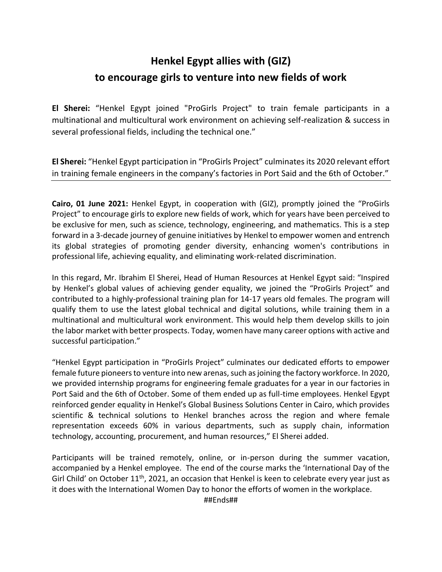# **Henkel Egypt allies with (GIZ) to encourage girls to venture into new fields of work**

**El Sherei:** "Henkel Egypt joined "ProGirls Project" to train female participants in a multinational and multicultural work environment on achieving self-realization & success in several professional fields, including the technical one."

**El Sherei:** "Henkel Egypt participation in "ProGirls Project" culminates its 2020 relevant effort in training female engineers in the company's factories in Port Said and the 6th of October."

**Cairo, 01 June 2021:** Henkel Egypt, in cooperation with (GIZ), promptly joined the "ProGirls Project" to encourage girls to explore new fields of work, which for years have been perceived to be exclusive for men, such as science, technology, engineering, and mathematics. This is a step forward in a 3-decade journey of genuine initiatives by Henkel to empower women and entrench its global strategies of promoting gender diversity, enhancing women's contributions in professional life, achieving equality, and eliminating work-related discrimination.

In this regard, Mr. Ibrahim El Sherei, Head of Human Resources at Henkel Egypt said: "Inspired by Henkel's global values of achieving gender equality, we joined the "ProGirls Project" and contributed to a highly-professional training plan for 14-17 years old females. The program will qualify them to use the latest global technical and digital solutions, while training them in a multinational and multicultural work environment. This would help them develop skills to join the labor market with better prospects. Today, women have many career options with active and successful participation."

"Henkel Egypt participation in "ProGirls Project" culminates our dedicated efforts to empower female future pioneers to venture into new arenas, such as joining the factory workforce. In 2020, we provided internship programs for engineering female graduates for a year in our factories in Port Said and the 6th of October. Some of them ended up as full-time employees. Henkel Egypt reinforced gender equality in Henkel's Global Business Solutions Center in Cairo, which provides scientific & technical solutions to Henkel branches across the region and where female representation exceeds 60% in various departments, such as supply chain, information technology, accounting, procurement, and human resources," El Sherei added.

Participants will be trained remotely, online, or in-person during the summer vacation, accompanied by a Henkel employee. The end of the course marks the 'International Day of the Girl Child' on October  $11<sup>th</sup>$ , 2021, an occasion that Henkel is keen to celebrate every year just as it does with the International Women Day to honor the efforts of women in the workplace.

##Ends##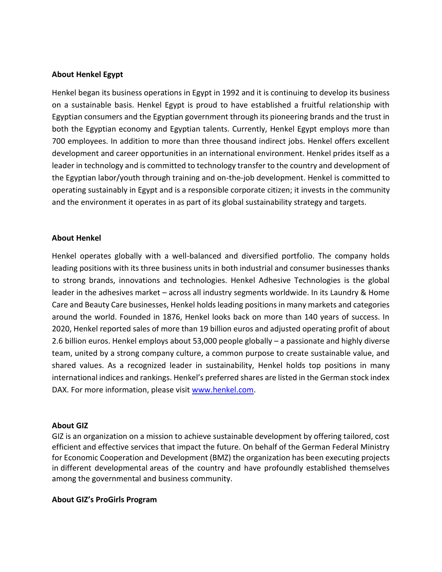# **About Henkel Egypt**

Henkel began its business operations in Egypt in 1992 and it is continuing to develop its business on a sustainable basis. Henkel Egypt is proud to have established a fruitful relationship with Egyptian consumers and the Egyptian government through its pioneering brands and the trust in both the Egyptian economy and Egyptian talents. Currently, Henkel Egypt employs more than 700 employees. In addition to more than three thousand indirect jobs. Henkel offers excellent development and career opportunities in an international environment. Henkel prides itself as a leader in technology and is committed to technology transfer to the country and development of the Egyptian labor/youth through training and on-the-job development. Henkel is committed to operating sustainably in Egypt and is a responsible corporate citizen; it invests in the community and the environment it operates in as part of its global sustainability strategy and targets.

## **About Henkel**

Henkel operates globally with a well-balanced and diversified portfolio. The company holds leading positions with its three business units in both industrial and consumer businesses thanks to strong brands, innovations and technologies. Henkel Adhesive Technologies is the global leader in the adhesives market – across all industry segments worldwide. In its Laundry & Home Care and Beauty Care businesses, Henkel holds leading positions in many markets and categories around the world. Founded in 1876, Henkel looks back on more than 140 years of success. In 2020, Henkel reported sales of more than 19 billion euros and adjusted operating profit of about 2.6 billion euros. Henkel employs about 53,000 people globally – a passionate and highly diverse team, united by a strong company culture, a common purpose to create sustainable value, and shared values. As a recognized leader in sustainability, Henkel holds top positions in many international indices and rankings. Henkel's preferred shares are listed in the German stock index DAX. For more information, please visit [www.henkel.com.](about:blank)

#### **About GIZ**

GIZ is an organization on a mission to achieve sustainable development by offering tailored, cost efficient and effective services that impact the future. On behalf of the German Federal Ministry for Economic Cooperation and Development (BMZ) the organization has been executing projects in different developmental areas of the country and have profoundly established themselves among the governmental and business community.

## **About GIZ's ProGirls Program**